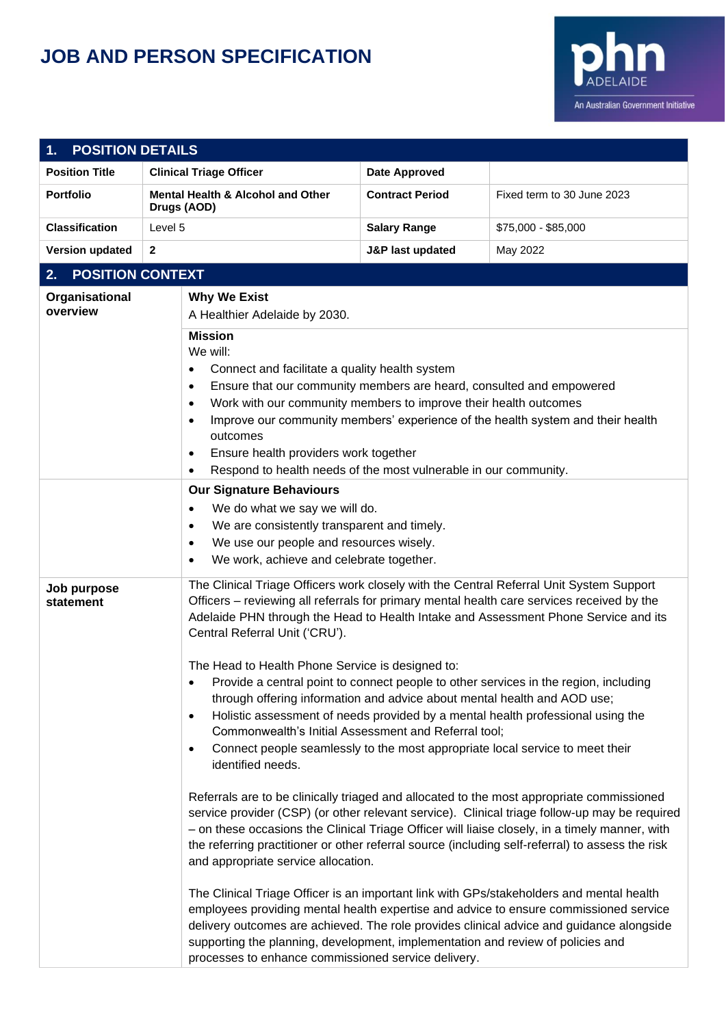## **JOB AND PERSON SPECIFICATION**



| <b>POSITION DETAILS</b><br>1. |                                                                                                                                                                                                                                                                                                                                                                                                                                                                                                            |                                                                                                                                                                                                                                                                                                                                                                                                                                                                                                                                                                                         |                                                                                                                                                                                                                                                                                                                                                                                                  |  |
|-------------------------------|------------------------------------------------------------------------------------------------------------------------------------------------------------------------------------------------------------------------------------------------------------------------------------------------------------------------------------------------------------------------------------------------------------------------------------------------------------------------------------------------------------|-----------------------------------------------------------------------------------------------------------------------------------------------------------------------------------------------------------------------------------------------------------------------------------------------------------------------------------------------------------------------------------------------------------------------------------------------------------------------------------------------------------------------------------------------------------------------------------------|--------------------------------------------------------------------------------------------------------------------------------------------------------------------------------------------------------------------------------------------------------------------------------------------------------------------------------------------------------------------------------------------------|--|
| <b>Position Title</b>         | <b>Clinical Triage Officer</b>                                                                                                                                                                                                                                                                                                                                                                                                                                                                             | <b>Date Approved</b>                                                                                                                                                                                                                                                                                                                                                                                                                                                                                                                                                                    |                                                                                                                                                                                                                                                                                                                                                                                                  |  |
| <b>Portfolio</b>              | <b>Mental Health &amp; Alcohol and Other</b><br>Drugs (AOD)                                                                                                                                                                                                                                                                                                                                                                                                                                                | <b>Contract Period</b>                                                                                                                                                                                                                                                                                                                                                                                                                                                                                                                                                                  | Fixed term to 30 June 2023                                                                                                                                                                                                                                                                                                                                                                       |  |
| <b>Classification</b>         | Level 5                                                                                                                                                                                                                                                                                                                                                                                                                                                                                                    | <b>Salary Range</b>                                                                                                                                                                                                                                                                                                                                                                                                                                                                                                                                                                     | \$75,000 - \$85,000                                                                                                                                                                                                                                                                                                                                                                              |  |
| <b>Version updated</b>        | $\mathbf{2}$                                                                                                                                                                                                                                                                                                                                                                                                                                                                                               | <b>J&amp;P last updated</b>                                                                                                                                                                                                                                                                                                                                                                                                                                                                                                                                                             | May 2022                                                                                                                                                                                                                                                                                                                                                                                         |  |
| <b>POSITION CONTEXT</b><br>2. |                                                                                                                                                                                                                                                                                                                                                                                                                                                                                                            |                                                                                                                                                                                                                                                                                                                                                                                                                                                                                                                                                                                         |                                                                                                                                                                                                                                                                                                                                                                                                  |  |
| Organisational<br>overview    | <b>Why We Exist</b><br>A Healthier Adelaide by 2030.                                                                                                                                                                                                                                                                                                                                                                                                                                                       |                                                                                                                                                                                                                                                                                                                                                                                                                                                                                                                                                                                         |                                                                                                                                                                                                                                                                                                                                                                                                  |  |
|                               | <b>Mission</b><br>We will:<br>Connect and facilitate a quality health system<br>$\bullet$<br>Ensure that our community members are heard, consulted and empowered<br>$\bullet$<br>Work with our community members to improve their health outcomes<br>$\bullet$<br>Improve our community members' experience of the health system and their health<br>$\bullet$<br>outcomes<br>Ensure health providers work together<br>٠<br>Respond to health needs of the most vulnerable in our community.<br>$\bullet$ |                                                                                                                                                                                                                                                                                                                                                                                                                                                                                                                                                                                         |                                                                                                                                                                                                                                                                                                                                                                                                  |  |
|                               | <b>Our Signature Behaviours</b><br>We do what we say we will do.<br>$\bullet$<br>We are consistently transparent and timely.<br>$\bullet$<br>We use our people and resources wisely.<br>$\bullet$<br>We work, achieve and celebrate together.<br>$\bullet$                                                                                                                                                                                                                                                 |                                                                                                                                                                                                                                                                                                                                                                                                                                                                                                                                                                                         |                                                                                                                                                                                                                                                                                                                                                                                                  |  |
| Job purpose<br>statement      | Central Referral Unit ('CRU').<br>٠                                                                                                                                                                                                                                                                                                                                                                                                                                                                        | The Clinical Triage Officers work closely with the Central Referral Unit System Support<br>Officers – reviewing all referrals for primary mental health care services received by the<br>Adelaide PHN through the Head to Health Intake and Assessment Phone Service and its<br>The Head to Health Phone Service is designed to:<br>Provide a central point to connect people to other services in the region, including<br>through offering information and advice about mental health and AOD use;<br>Holistic assessment of needs provided by a mental health professional using the |                                                                                                                                                                                                                                                                                                                                                                                                  |  |
|                               | $\bullet$<br>Commonwealth's Initial Assessment and Referral tool;<br>Connect people seamlessly to the most appropriate local service to meet their<br>$\bullet$<br>identified needs.                                                                                                                                                                                                                                                                                                                       |                                                                                                                                                                                                                                                                                                                                                                                                                                                                                                                                                                                         |                                                                                                                                                                                                                                                                                                                                                                                                  |  |
|                               | and appropriate service allocation.                                                                                                                                                                                                                                                                                                                                                                                                                                                                        |                                                                                                                                                                                                                                                                                                                                                                                                                                                                                                                                                                                         | Referrals are to be clinically triaged and allocated to the most appropriate commissioned<br>service provider (CSP) (or other relevant service). Clinical triage follow-up may be required<br>- on these occasions the Clinical Triage Officer will liaise closely, in a timely manner, with<br>the referring practitioner or other referral source (including self-referral) to assess the risk |  |
|                               | supporting the planning, development, implementation and review of policies and<br>processes to enhance commissioned service delivery.                                                                                                                                                                                                                                                                                                                                                                     |                                                                                                                                                                                                                                                                                                                                                                                                                                                                                                                                                                                         | The Clinical Triage Officer is an important link with GPs/stakeholders and mental health<br>employees providing mental health expertise and advice to ensure commissioned service<br>delivery outcomes are achieved. The role provides clinical advice and guidance alongside                                                                                                                    |  |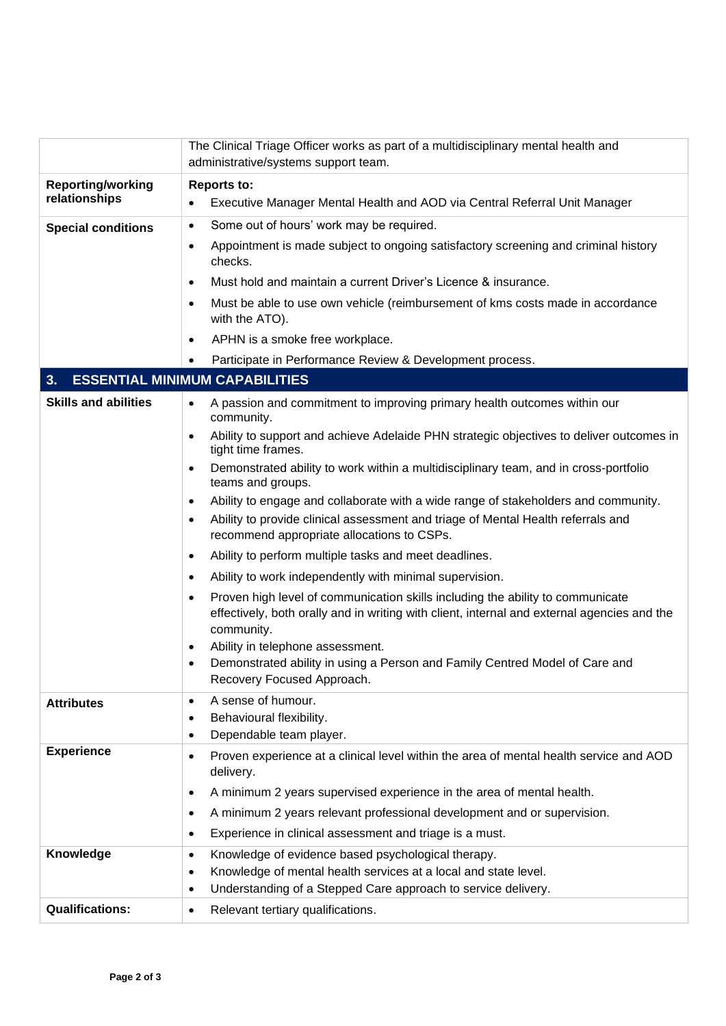|                                           | The Clinical Triage Officer works as part of a multidisciplinary mental health and<br>administrative/systems support team.                                                                                                                                                                                                                                                                                                                                                                                                                                                                                                                                                                                                                                                                                                                                                                                                                                                                                                                                                                                                         |  |  |
|-------------------------------------------|------------------------------------------------------------------------------------------------------------------------------------------------------------------------------------------------------------------------------------------------------------------------------------------------------------------------------------------------------------------------------------------------------------------------------------------------------------------------------------------------------------------------------------------------------------------------------------------------------------------------------------------------------------------------------------------------------------------------------------------------------------------------------------------------------------------------------------------------------------------------------------------------------------------------------------------------------------------------------------------------------------------------------------------------------------------------------------------------------------------------------------|--|--|
| <b>Reporting/working</b><br>relationships | <b>Reports to:</b><br>Executive Manager Mental Health and AOD via Central Referral Unit Manager<br>$\bullet$                                                                                                                                                                                                                                                                                                                                                                                                                                                                                                                                                                                                                                                                                                                                                                                                                                                                                                                                                                                                                       |  |  |
| <b>Special conditions</b>                 | Some out of hours' work may be required.<br>$\bullet$<br>Appointment is made subject to ongoing satisfactory screening and criminal history<br>$\bullet$<br>checks.<br>Must hold and maintain a current Driver's Licence & insurance.<br>$\bullet$<br>Must be able to use own vehicle (reimbursement of kms costs made in accordance<br>$\bullet$<br>with the ATO).<br>APHN is a smoke free workplace.<br>٠                                                                                                                                                                                                                                                                                                                                                                                                                                                                                                                                                                                                                                                                                                                        |  |  |
|                                           | Participate in Performance Review & Development process.                                                                                                                                                                                                                                                                                                                                                                                                                                                                                                                                                                                                                                                                                                                                                                                                                                                                                                                                                                                                                                                                           |  |  |
| 3.                                        | <b>ESSENTIAL MINIMUM CAPABILITIES</b>                                                                                                                                                                                                                                                                                                                                                                                                                                                                                                                                                                                                                                                                                                                                                                                                                                                                                                                                                                                                                                                                                              |  |  |
| <b>Skills and abilities</b>               | A passion and commitment to improving primary health outcomes within our<br>$\bullet$<br>community.<br>Ability to support and achieve Adelaide PHN strategic objectives to deliver outcomes in<br>$\bullet$<br>tight time frames.<br>Demonstrated ability to work within a multidisciplinary team, and in cross-portfolio<br>$\bullet$<br>teams and groups.<br>Ability to engage and collaborate with a wide range of stakeholders and community.<br>$\bullet$<br>Ability to provide clinical assessment and triage of Mental Health referrals and<br>$\bullet$<br>recommend appropriate allocations to CSPs.<br>Ability to perform multiple tasks and meet deadlines.<br>$\bullet$<br>Ability to work independently with minimal supervision.<br>٠<br>Proven high level of communication skills including the ability to communicate<br>$\bullet$<br>effectively, both orally and in writing with client, internal and external agencies and the<br>community.<br>Ability in telephone assessment.<br>$\bullet$<br>Demonstrated ability in using a Person and Family Centred Model of Care and<br>٠<br>Recovery Focused Approach. |  |  |
| <b>Attributes</b>                         | A sense of humour.<br>$\bullet$<br>Behavioural flexibility.<br>$\bullet$<br>Dependable team player.<br>$\bullet$                                                                                                                                                                                                                                                                                                                                                                                                                                                                                                                                                                                                                                                                                                                                                                                                                                                                                                                                                                                                                   |  |  |
| <b>Experience</b>                         | Proven experience at a clinical level within the area of mental health service and AOD<br>٠<br>delivery.<br>A minimum 2 years supervised experience in the area of mental health.<br>$\bullet$<br>A minimum 2 years relevant professional development and or supervision.<br>$\bullet$<br>Experience in clinical assessment and triage is a must.<br>$\bullet$                                                                                                                                                                                                                                                                                                                                                                                                                                                                                                                                                                                                                                                                                                                                                                     |  |  |
| Knowledge                                 | Knowledge of evidence based psychological therapy.<br>$\bullet$<br>Knowledge of mental health services at a local and state level.<br>$\bullet$<br>Understanding of a Stepped Care approach to service delivery.<br>٠                                                                                                                                                                                                                                                                                                                                                                                                                                                                                                                                                                                                                                                                                                                                                                                                                                                                                                              |  |  |
| <b>Qualifications:</b>                    | Relevant tertiary qualifications.<br>$\bullet$                                                                                                                                                                                                                                                                                                                                                                                                                                                                                                                                                                                                                                                                                                                                                                                                                                                                                                                                                                                                                                                                                     |  |  |